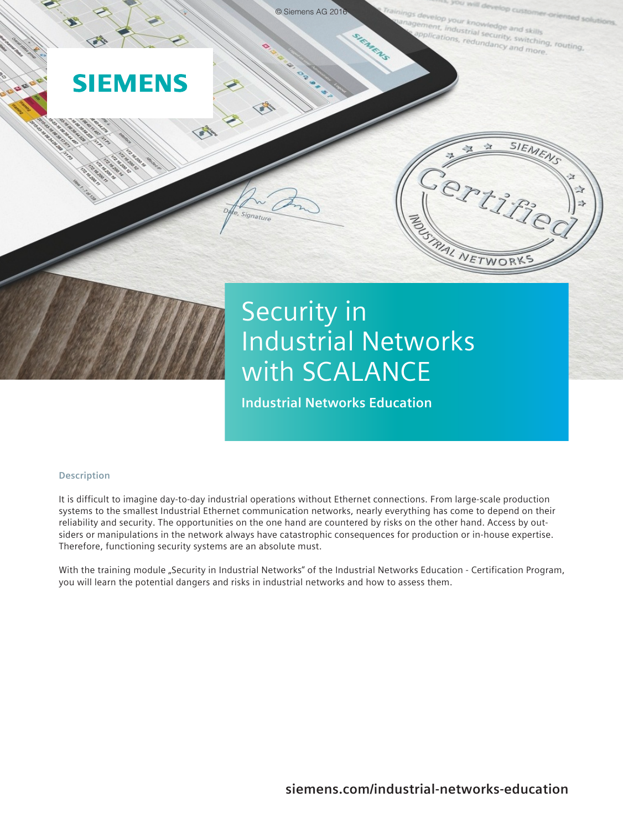

# Security in Industrial Networks with SCALANCE

**Industrial Networks Education**

# **Description**

It is difficult to imagine day-to-day industrial operations without Ethernet connections. From large-scale production systems to the smallest Industrial Ethernet communication networks, nearly everything has come to depend on their reliability and security. The opportunities on the one hand are countered by risks on the other hand. Access by outsiders or manipulations in the network always have catastrophic consequences for production or in-house expertise. Therefore, functioning security systems are an absolute must.

With the training module "Security in Industrial Networks" of the Industrial Networks Education - Certification Program, you will learn the potential dangers and risks in industrial networks and how to assess them.